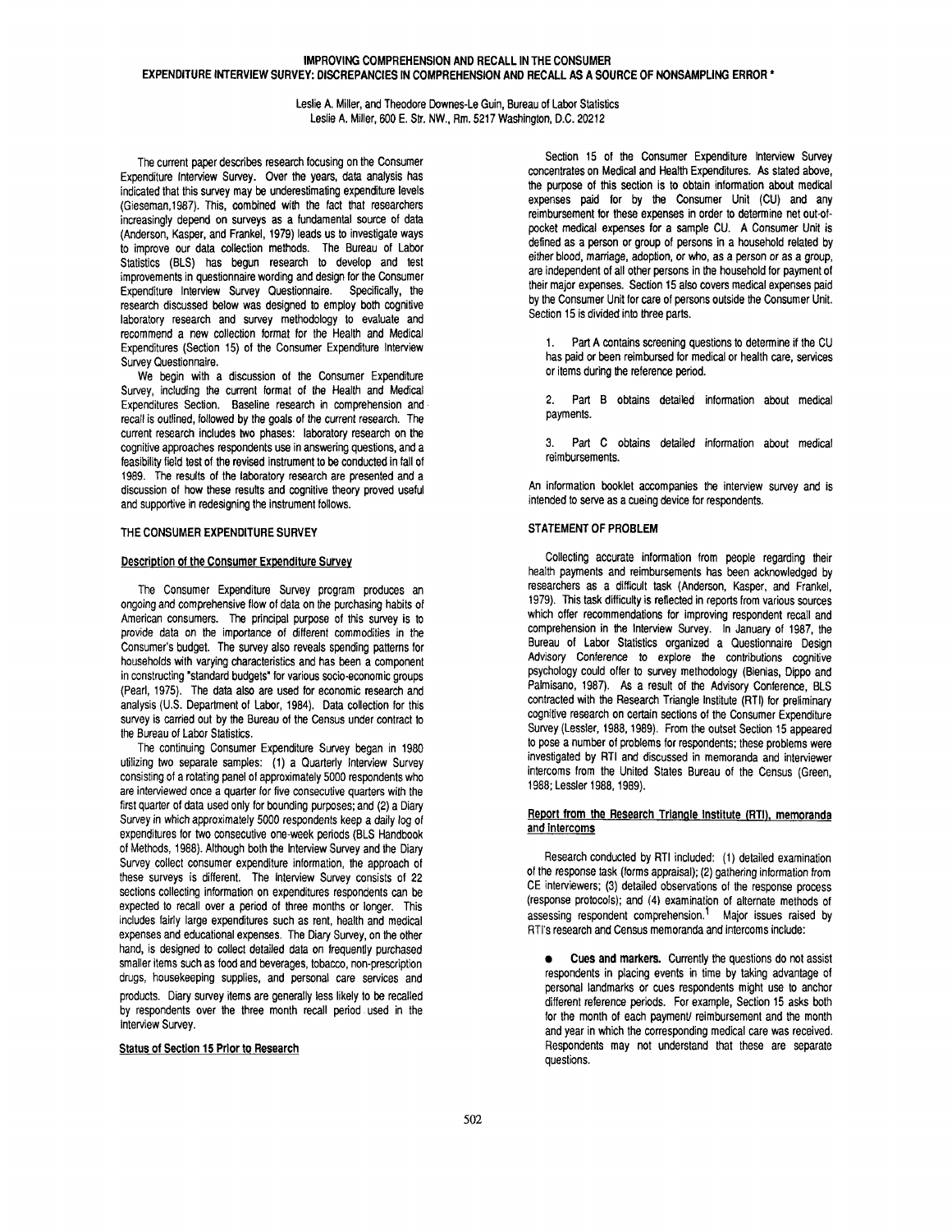# **IMPROVING COMPREHENSION AND RECALL IN THE CONSUMER EXPENDITURE INTERVIEW SURVEY: DISCREPANCIES IN COMPREHENSION AND RECALL AS A SOURCE OF NONSAMPLING ERROR \***

Leslie A. Miller, and Theodore Downes-Le Guin, Bureau of Labor Statistics Leslie A. Miller, 600 E. Str. NW., Rm. 5217 Washington, D.C. 20212

The current paper describes research focusing on the Consumer Expenditure Interview Survey. Over the years, data analysis has indicated that this survey may be underestimating expenditure levels (Gieseman,1987). This, combined with the fact that researchers increasingly depend on surveys as a fundamental source of data (Anderson, Kasper, and Frankel, 1979) leads us to investigate ways to improve our data collection methods. The Bureau of Labor Statistics (BLS) has begun research to develop and test improvements in questionnaire wording and design for the Consumer Expenditure Interview Survey Questionnaire. Specifically, the research discussed below was designed to employ both cognitive laboratory research and survey methodology to evaluate and recommend a new collection format for the Health and Medical Expenditures (Section 15) of the Consumer Expenditure Interview Survey Questionnaire.

We begin with a discussion of the Consumer Expenditure Survey, including the current format of the Health and Medical Expenditures Section. Baseline research in comprehension and recall is outlined, followed by the goals of the current research. The current research includes two phases: laboratory research on the cognitive approaches respondents use in answering questions, and a feasibility field test of the revised instrument to be conducted in fall of 1989. The results of the laboratory research are presented and a discussion of how these results and cognitive theory proved useful and supportive in redesigning the instrument follows.

## **THE CONSUMER EXPENDITURE** SURVEY

## **Description** of the **Consumer Expenditure Survey**

The Consumer Expenditure Survey program produces an ongoing and comprehensive flow of data on the purchasing habits of American consumers. The principal purpose of this survey is to provide data on the importance of different commodities in the Consumer's budget. The survey also reveals spending patterns for households with varying characteristics and has been a component in constructing "standard budgets" for various socio-economic groups (Pearl, 1975). The data also are used for economic research and analysis (U.S. Department of Labor, 1984). Data collection for this survey is carried out by the Bureau of the Census under contract to the Bureau of Labor Statistics.

The continuing Consumer Expenditure Survey began in 1980 utilizing two separate samples: (1) a Quarterly Interview Survey consisting of a rotating panel of approximately 5000 respondents who are interviewed once a quarter for five consecutive quarters with the first quarter of data used only for bounding purposes; and (2) a Diary Survey in which approximately 5000 respondents keep a daily log of expenditures for two consecutive one-week periods (BLS Handbook of Methods, 1988). Although both the Interview Survey and the Diary Survey collect consumer expenditure information, the approach of these surveys is different. The Interview Survey consists of 22 sections collecting information on expenditures respondents can be expected to recall over a period of three months or longer. This includes fairly large expenditures such as rent, health and medical expenses and educational expenses. The Diary Survey, on the other hand, is designed to collect detailed data on frequently purchased smaller items such as food and beverages, tobacco, non-prescription drugs, housekeeping supplies, and personal care services and products. Diary survey items are generally less likely to be recalled by respondents over the three month recall period .used in the Interview Survey.

# **Status of Section 15 Prior to Research**

Section 15 of the Consumer Expenditure Interview Survey concentrates on Medical and Health Expenditures. As stated above, the purpose of this section is to obtain information about medical expenses paid for by the Consumer Unit (CU) and any reimbursement for these expenses in order to determine net out-ofpocket medical expenses for a sample CU. A Consumer Unit is defined as a person or group of persons in a household related by either blood, marriage, adoption, or who, as a person or as a group, are independent of all other persons in the household for payment of their major expenses. Section 15 also covers medical expenses paid by the Consumer Unit for care of persons outside the Consumer Unit. Section 15 is divided into three parts.

1. Part A contains screening questions to determine if the CU has paid or been reimbursed for medical or health care, services or items during the reference period.

2. Part B obtains detailed information about medical payments.

3. Part C obtains detailed information about medical reimbursements.

An information booklet accompanies the interview survey and is intended to serve as a cueing device for respondents.

# **STATEMENT OF PROBLEM**

Collecting accurate information from people regarding their health payments and reimbursements has been acknowledged by researchers as a difficult task (Anderson, Kasper, and Frankel, 1979). This task difficulty is reflected in reports from various sources which offer recommendations for improving respondent recall and comprehension in the Interview Survey. In January of 1987, the Bureau of Labor Statistics organized a Questionnaire Design Advisory Conference to explore the contributions cognitive psychology could offer to survey methodology (Bienias, Dippo and Palmisano, 1987). As a result of the Advisory Conference, BLS contracted with the Research Triangle Institute (RTI) for preliminary cognitive research on certain sections of the Consumer Expenditure Survey (Lessler, 1988, 1989). From the outset Section 15 appeared to pose a number of problems for respondents; these problems were investigated by RTI and discussed in memoranda and interviewer intercoms from the United States Bureau of the Census (Green, 1988; Lessler 1988, 1989).

## **Report from the Research Triangle Institute (RTI), memoranda and intercoms**

Research conducted by RTI included: (1) detailed examination of the response task (forms appraisal); (2) gathering information from CE interviewers; (3) detailed observations of the response process (response protocols); and (4) examination of alternate methods of assessing respondent comprehension.<sup>1</sup> Major issues raised by RTI's research and Census memoranda and intercoms include:

• **Cues and markers.** Currently the questions do not assist respondents in placing events in time by taking advantage of personal landmarks or cues respondents might use to anchor different reference periods. For example, Section 15 asks both for the month of each payment/ reimbursement and the month and year in which the corresponding medical care was received. Respondents may not understand that these are separate questions.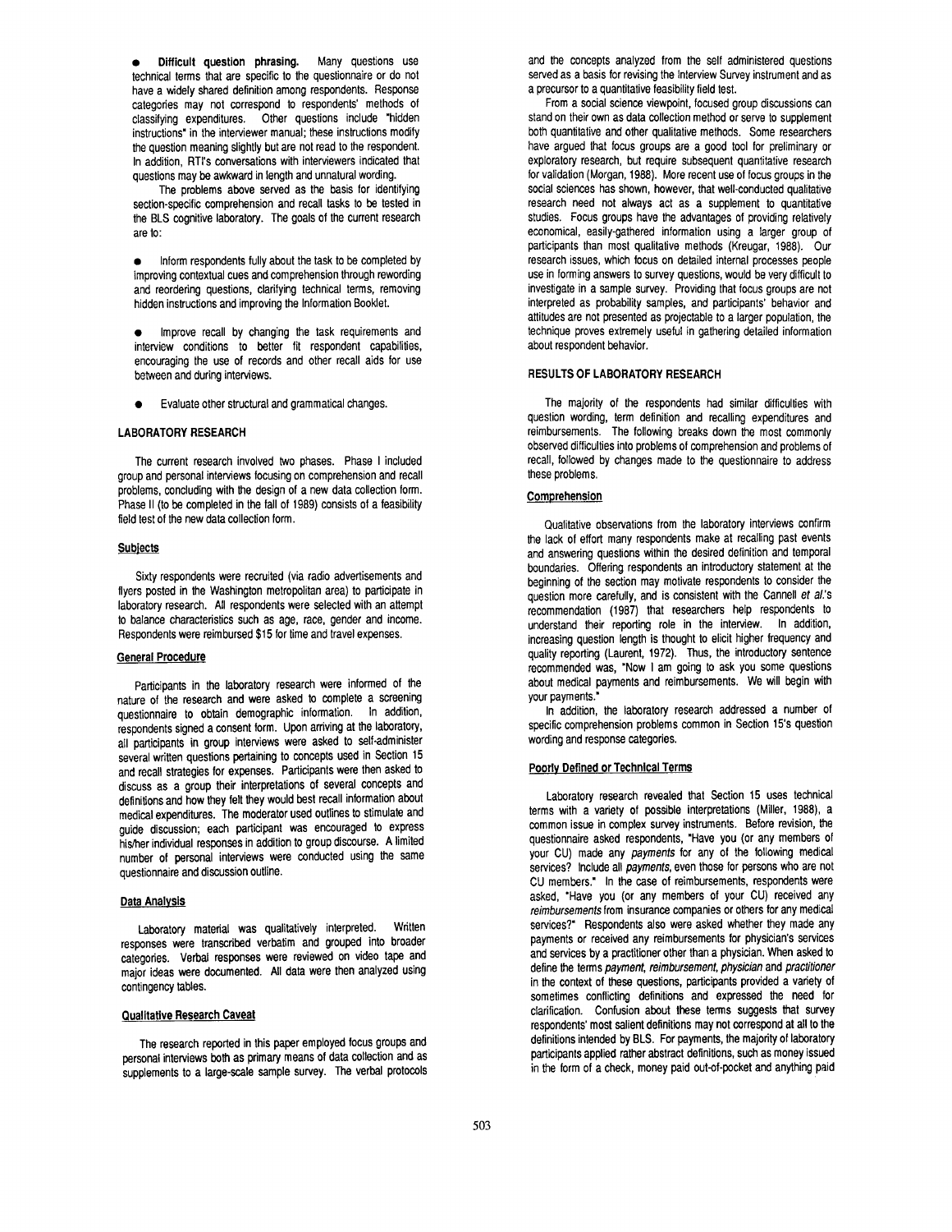• Difficult **question phrasing.** Many questions use technical terms that are specific to the questionnaire or do not have a widely shared definition among respondents. Response categories may not correspond to respondents' methods of classifying expenditures. Other questions include "hidden instructions" in the interviewer manual; these instructions modify the question meaning slightly but are not read to the respondent. In addition, RTI's conversations with interviewers indicated that questions may be awkward in length and unnatural wording.

The problems above served as the basis for identifying section-specific comprehension and recall tasks to be tested in the BLS cognitive laboratory. The goals of the current research are to:

• Inform respondents fully about the task to be completed by improving contextual cues and comprehension through rewording and reordering questions, clarifying technical terms, removing hidden instructions and improving the Information Booklet.

- Improve recall by changing the task requirements and interview conditions to better fit respondent capabilities, encouraging the use of records and other recall aids for use between and during interviews.
- Evaluate other structural and grammatical changes.

## **LABORATORY RESEARCH**

The current research involved two phases. Phase I included group and personal interviews focusing on comprehension and recall problems, concluding with the design of a new data collection form. Phase II (to be completed in the fall of 1989) consists of a feasibility field test of the new data collection form.

### **Subjects**

Sixty respondents were recruited (via radio advertisements and flyers posted in the Washington metropolitan area) to participate in laboratory research. All respondents were selected with an attempt to balance characteristics such as age, race, gender and income. Respondents were reimbursed \$15 for time and travel expenses.

### **General Procedure**

Participants in the laboratory research were informed of the nature of the research and were asked to complete a screening questionnaire to obtain demographic information. In addition, respondents signed a consent form. Upon arriving at the laboratory, all participants in group interviews were asked to self-administer several written questions pertaining to concepts used in Section 15 and recall strategies for expenses. Participants were then asked to discuss as a group their interpretations of several concepts and definitions and how they felt they would best recall information about medical expenditures. The moderator used outlines to stimulate and guide discussion; each participant was encouraged to express his/her individual responses in addition to group discourse. A limited number of personal interviews were conducted using the same questionnaire and discussion outline.

### **Data Analysis**

Laboratory material was qualitatively interpreted. Written responses were transcribed verbatim and grouped into broader categories. Verbal responses were reviewed on video tape and major ideas were documented. All data were then analyzed using contingency tables.

### **Qualitative Research Caveat**

The research reported in this paper employed focus groups and personal interviews both as primary means of data collection and as supplements to a large-scale sample survey. The verbal protocols and the concepts analyzed from the self administered questions served as a basis for revising the Interview Survey instrument and as a precursor to a quantitative feasibility field test.

From a social science viewpoint, focused group discussions can stand on their own as data collection method or serve to supplement both quantitative and other qualitative methods. Some researchers have argued that focus groups are a good tool for preliminary or exploratory research, but require subsequent quantitative research for validation (Morgan, 1988). More recent use of focus groups in the social sciences has shown, however, that well-conducted qualitative research need not always act as a supplement to quantitative studies. Focus groups have the advantages of providing relatively economical, easily-gathered information using a larger group of participants than most qualitative methods (Kreugar, 1988). Our research issues, which focus on detailed internal processes people use in forming answers to survey questions, would be very difficult to investigate in a sample survey. Providing that focus groups are not interpreted as probability samples, and participants' behavior and attitudes are not presented as projectable to a larger population, the technique proves extremely useful in gathering detailed information about respondent behavior.

### RESULTS OF LABORATORY RESEARCH

The majority of the respondents had similar difficulties with question wording, term definition and recalling expenditures and reimbursements. The following breaks down the most commonly observed difficulties into problems of comprehension and problems of recall, followed by changes made to the questionnaire to address these problems.

## Comprehension

Qualitative observations from the laboratory interviews confirm the lack of effort many respondents make at recalling past events and answering questions within the desired definition and temporal boundaries. Offering respondents an introductory statement at the beginning of the section may motivate respondents to consider the question more carefully, and is consistent with the Cannell *et al.'s*  recommendation (1987) that researchers help respondents to understand their reporting role in the interview. In addition, increasing question length is thought to elicit higher frequency and quality reporting (Laurent, 1972). Thus, the introductory sentence recommended was, "Now I am going to ask you some questions about medical payments and reimbursements. We will begin with your payments."

In addition, the laboratory research addressed a number of specific comprehension problems common in Section 15's question wording and response categories.

### **Poorly Defined or Technical Terms**

Laboratory research revealed that Section 15 uses technical terms with a variety of possible interpretations (Miller, 1988), a common issue in complex survey instruments. Before revision, the questionnaire asked respondents, "Have you (or any members of your CU) made any *payments* for any of the following medical services? Include all *payments,* even those for persons who are not CU members." In the case of reimbursements, respondents were asked, "Have you (or any members of your CU) received any *reimbursements* from insurance companies or others for any medical services?" Respondents also were asked whether they made any payments or received any reimbursements for physician's services and services by a practitioner other than a physician. When asked to define the terms *payment, reimbursement, physician* and *practitioner*  in the context of these questions, participants provided a variety of sometimes conflicting definitions and expressed the need for clarification. Confusion about these terms suggests that survey respondents' most salient definitions may not correspond at all to the definitions intended by BLS. For payments, the majority of laboratory participants applied rather abstract definitions, such as money issued in the form of a check, money paid out-of-pocket and anything paid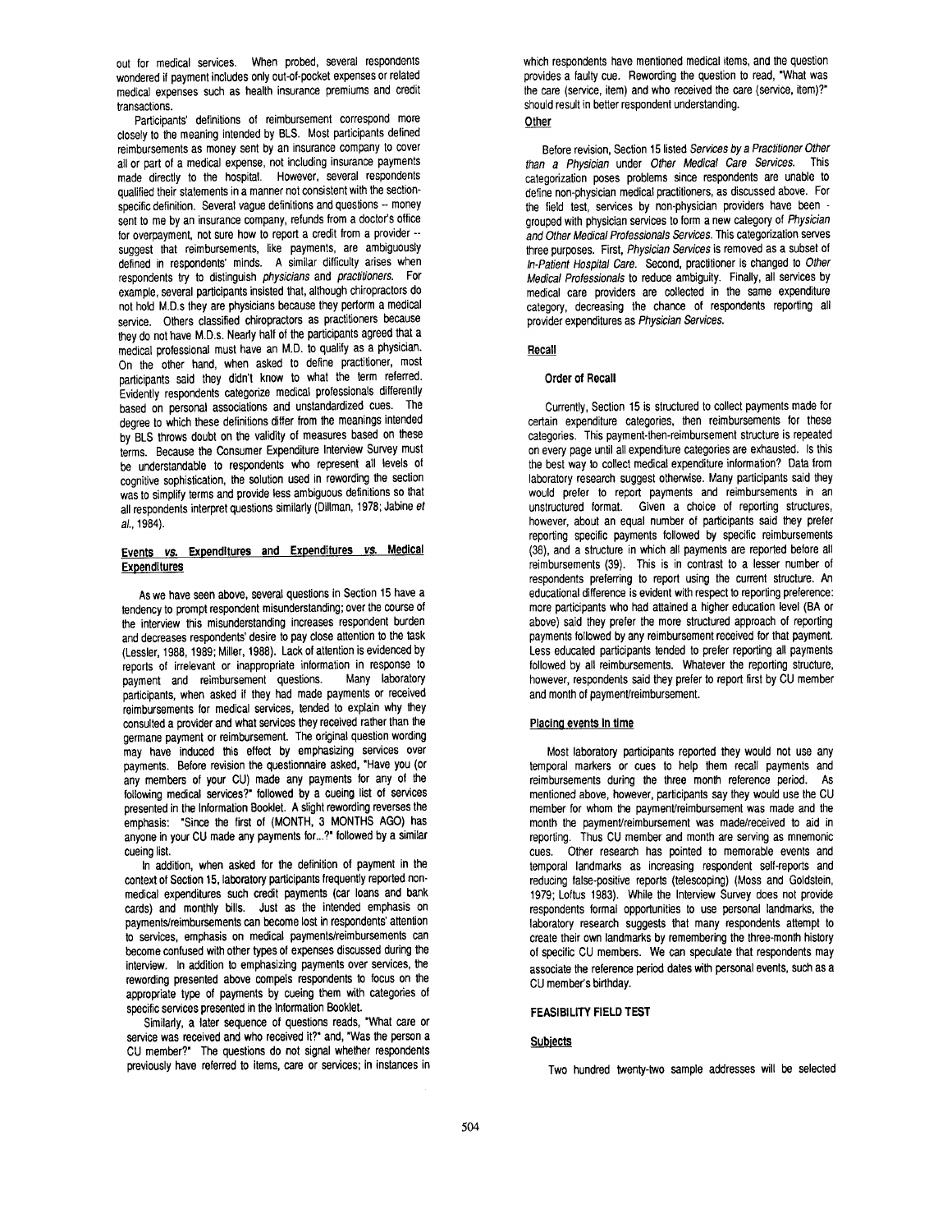out for medical services. When probed, several respondents wondered if payment includes only out-of-pocket expenses or related medical expenses such as health insurance premiums and credit transactions.

Participants' definitions of reimbursement correspond more closely to the meaning intended by BLS. Most participants defined reimbursements as money sent by an insurance company to cover all or part of a medical expense, not including insurance payments made directly to the hospital. However, several respondents qualified their statements in a manner not consistent with the sectionspecific definition. Several vague definitions and questions -- money sent to me by an insurance company, refunds from a doctor's office for overpayment, not sure how to report a credit from a provider - suggest that reimbursements, like payments, are ambiguously defined in respondents' minds. A similar difficulty arises when respondents try to distinguish *physicians* and *practitioners.* For example, several participants insisted that, although chiropractors do not hold M.D.s they are physicians because they perform a medical service. Others classified chiropractors as practitioners because they do not have M.D.s. Nearly half of the participants agreed that a medical professional must have an M.D. to qualify as a physician. On the other hand, when asked to define practitioner, most participants said they didn't know to what the term referred. Evidently respondents categorize medical professionals differently based on personal associations and unstandardized cues. The degree to which these definitions differ from the meanings intended by BLS throws doubt on the validity of measures based on these terms. Because the Consumer Expenditure Interview Survey must be understandable to respondents who represent all levels of cognitive sophistication, the solution used in rewording the section was to simplify terms and provide less ambiguous definitions so that all respondents interpret questions similarly (Dillman, 1978; Jabine *et al.,* 1984).

# **Events** *vs.* **Expenditures and Expenditures** *vs.* **Medical Expenditures**

As we have seen above, several questions in Section 15 have a tendency to prompt respondent misunderstanding; over the course of the interview this misunderstanding increases respondent burden and decreases respondents' desire to pay close attention to the task (Lessler, 1988, 1989; Miller, 1988). Lack of attention is evidenced by reports of irrelevant or inappropriate information in response to<br>payment and reimbursement questions. Many laboratory payment and reimbursement questions. participants, when asked if they had made payments or received reimbursements for medical services, tended to explain why they consulted a provider and what services they received rather than the germane payment or reimbursement. The original question wording may have induced this effect by emphasizing services over payments. Before revision the questionnaire asked, "Have you (or any members of your CU) made any payments for any of the following medical services?" followed by a cueing list of services presented in the Information Booklet. A slight rewording reverses the emphasis: "Since the first of (MONTH, 3 MONTHS AGO) has anyone in your CU made any payments for...?" followed by a similar cueing list.

In addition, when asked for the definition of payment in the context of Section 15, laboratory participants frequently reported nonmedical expenditures such credit payments (car loans and bank cards) and monthly bills. Just as the intended emphasis on payments/reimbursements can become lost in respondents' attention to services, emphasis on medical payments/reimbursements can become confused with other types of expenses discussed during the interview. In addition to emphasizing payments over services, the rewording presented above compels respondents to focus on the appropriate type of payments by cueing them with categories of specific services presented in the Information Booklet.

Similarly, a later sequence of questions reads, "What care or service was received and who received it?" and, "Was the person a CU member?" The questions do not signal whether respondents previously have referred to items, care or services; in instances in which respondents have mentioned medical items, and the question provides a faulty cue. Rewording the question to read, "What was the care (service, item) and who received the care (service, item)?" should result in better respondent understanding.

#### **Other**

Before revision, Section 15 listed *Services by a Practitioner Other than a Physician* under *Other Medical Care Services.* This categorization poses problems since respondents are unable to define non-physician medical practitioners, as discussed above. For the field test, services by non-physician providers have been grouped with physician services to form a new category of *Physician and Other Medical Professionals Services.* This categorization serves three purposes. First, *Physician Services* is removed as a subset of *In-Patient Hospital Care.* Second, practitioner is changed to *Other Medical Professionals* to reduce ambiguity. Finally, all services by medical care providers are collected in the same expenditure category, decreasing the chance of respondents reporting all provider expenditures as *Physician Services.* 

# **Recall**

## **Order of Recall**

Currently, Section 15 is structured to collect payments made for certain expenditure categories, then reimbursements for these categories. This payment-then-reimbursement structure is repeated on every page until all expenditure categories are exhausted. Is this the best way to collect medical expenditure information? Data from laboratory research suggest otherwise. Many participants said they would prefer to report payments and reimbursements in an unstructured format. Given a choice of reporting structures, however, about an equal number of participants said they prefer reporting specific payments followed by specific reimbursements (38), and a structure in which all payments are reported before all reimbursements (39). This is in contrast to a lesser number of respondents preferring to report using the current structure. An educational difference is evident with respect to reporting preference: more participants who had attained a higher education level (BA or above) said they prefer the more structured approach of reporting payments followed by any reimbursement received for that payment. Less educated participants tended to prefer reporting all payments followed by all reimbursements. Whatever the reporting structure, however, respondents said they prefer to report first by CU member and month of payment/reimbursement.

# **Placing events in time**

Most laboratory participants reported they would not use any temporal markers or cues to help them recall payments and reimbursements during the three month reference period. As mentioned above, however, participants say they would use the CU member for whom the payment/reimbursement was made and the month the payment/reimbursement was made/received to aid in reporting. Thus CU member and month are serving as mnemonic cues. Other research has pointed to memorable events and temporal landmarks as increasing respondent self-reports and reducing false-positive reports (telescoping) (Moss and Goldstein, 1979; Loftus 1983). While the Interview Survey does not provide respondents formal opportunities to use personal landmarks, the laboratory research suggests that many respondents attempt to create their own landmarks by remembering the three-month history of specific CU members. We can speculate that respondents may associate the reference period dates with personal events, such as a CU member's birthday.

# FEASIBILITY FIELD TEST

# **Subjects**

Two hundred twenty-two sample addresses will be selected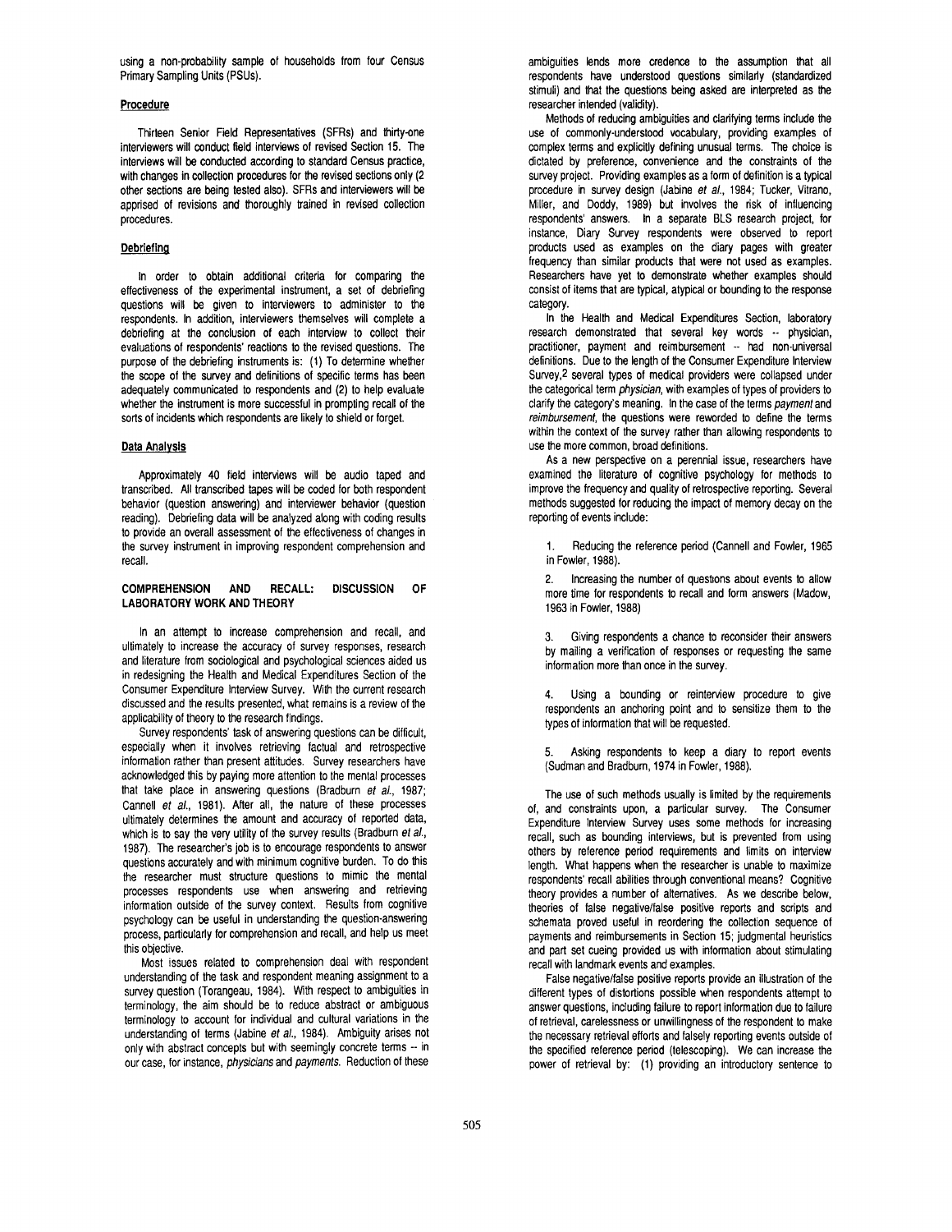using a non-probability sample of households from four Census Primary Sampling Units (PSUs).

# **Procedure**

Thirteen Senior Field Representatives (SFRs) and thirty-one interviewers will conduct field interviews of revised Section 15. The interviews will be conducted according to standard Census practice, with changes in collection procedures for the revised sections only (2 other sections are being tested also). SFRs and interviewers will be apprised of revisions and thoroughly trained in revised collection procedures.

# **Debriefing**

In order to obtain additional criteria for comparing the effectiveness of the experimental instrument, a set of debriefing questions will be given to interviewers to administer to the respondents. In addition, interviewers themselves will complete a debriefing at the conclusion of each interview to collect their evaluations of respondents' reactions to the revised questions. The purpose of the debriefing instruments is: (1) To determine whether the scope of the survey and definitions of specific terms has been adequately communicated to respondents and (2) to help evaluate whether the instrument is more successful in prompting recall of the sorts of incidents which respondents are likely to shield or forget.

## **Data Analysis**

Approximately 40 field interviews will be audio taped and transcribed. All transcribed tapes will be coded for both respondent behavior (question answering) and interviewer behavior (question reading). Debriefing data will be analyzed along with coding results to provide an overall assessment of the effectiveness of changes in the survey instrument in improving respondent comprehension and recall.

## **COMPREHENSION AND RECALL: DISCUSSION OF LABORATORY WORK AND THEORY**

In an attempt to increase comprehension and recall, and ultimately to increase the accuracy of survey responses, research and literature from sociological and psychological sciences aided us in redesigning the Health and Medical Expenditures Section of the Consumer Expenditure Interview Survey. With the current research discussed and the results presented, what remains is a review of the applicability of theory to the research findings.

Survey respondents' task of answering questions can be difficult, especially when it involves retrieving factual and retrospective information rather than present attitudes. Survey researchers have acknowledged this by paying more attention to the mental processes that take place in answering questions (Bradburn *et al.,* 1987; Cannell *et al.,* 1981). After all, the nature of these processes ultimately determines the amount and accuracy of reported data, which is to say the very utility of the survey results (Bradburn *et al.,*  1987). The researcher's job is to encourage respondents to answer questions accurately and with minimum cognitive burden. To do this the researcher must structure questions to mimic the mental processes respondents use when answering and retrieving information outside of the survey context. Results from cognitive psychology can be useful in understanding the question-answering process, particularly for comprehension and recall, and help us meet this objective.

Most issues related to comprehension deal with respondent understanding of the task and respondent meaning assignment to a survey question (Torangeau, 1984). With respect to ambiguities in terminology, the aim should be to reduce abstract or ambiguous terminology to account for individual and cultural variations in the understanding of terms (Jabine *et al.,* 1984). Ambiguity arises not only with abstract concepts but with seemingly concrete terms -- in our case, for instance, *physicians* and *payments.* Reduction of these

ambiguities lends more credence to the assumption that all respondents have understood questions similarly (standardized stimuli) and that the questions being asked are interpreted as the researcher intended (validity).

Methods of reducing ambiguities and clarifying terms include the use of commonly-understood vocabulary, providing examples of complex terms and explicitly defining unusual terms. The choice is dictated by preference, convenience and the constraints of the survey project. Providing examples as a form of definition is a typical procedure in survey design (Jabine *et al.,* 1984; Tucker, Vitrano, Miller, and Doddy, 1989) but involves the risk of influencing respondents' answers. In a separate BLS research project, for instance, Diary Survey respondents were observed to report products used as examples on the diary pages with greater frequency than similar products that were not used as examples. Researchers have yet to demonstrate whether examples should consist of items that are typical, atypical or bounding to the response category.

In the Health and Medical Expenditures Section, laboratory research demonstrated that several key words -- physician, practitioner, payment and reimbursement -- had non-universal definitions. Due to the length of the Consumer Expenditure Interview Survey,2 several types of medical providers were collapsed under the categorical term *physician,* with examples of types of providers to clarify the category's meaning. In the case of the terms *payment* and *reimbursement,* the questions were reworded to define the terms within the context of the survey rather than allowing respondents to use the more common, broad definitions.

As a new perspective on a perennial issue, researchers have examined the literature of cognitive psychology for methods to improve the frequency and quality of retrospective reporting. Several methods suggested for reducing the impact of memory decay on the reporting of events include:

1. Reducing the reference period (Cannell and Fowler, 1965 in Fowler, 1988).

2. Increasing the number of questions about events to allow more time for respondents to recall and form answers (Madow, 1963 in Fowler, 1988)

3. Giving respondents a chance to reconsider their answers by mailing a verification of responses or requesting the same information more than once in the survey.

Using a bounding or reinterview procedure to give respondents an anchoring point and to sensitize them to the types of information that will be requested.

Asking respondents to keep a diary to report events (Sudman and Bradbum, 1974 in Fowler, 1988).

The use of such methods usually is limited by the requirements of, and constraints upon, a particular survey. The Consumer Expenditure Interview Survey uses some methods for increasing recall, such as bounding interviews, but is prevented from using others by reference period requirements and limits on interview length. What happens when the researcher is unable to maximize respondents' recall abilities through conventional means? Cognitive theory provides a number of alternatives. As we describe below, theories of false negative/false positive reports and scripts and schemata proved useful in reordering the collection sequence of payments and reimbursements in Section 15; judgmental heuristics and part set cueing provided us with information about stimulating recall with landmark events and examples.

False negative/false positive reports provide an illustration of the different types of distortions possible when respondents attempt to answer questions, including failure to report information due to failure of retrieval, carelessness or unwillingness of the respondent to make the necessary retrieval efforts and falsely reporting events outside of the specified reference period (telescoping). We can increase the power of retrieval by: (1) providing an introductory sentence to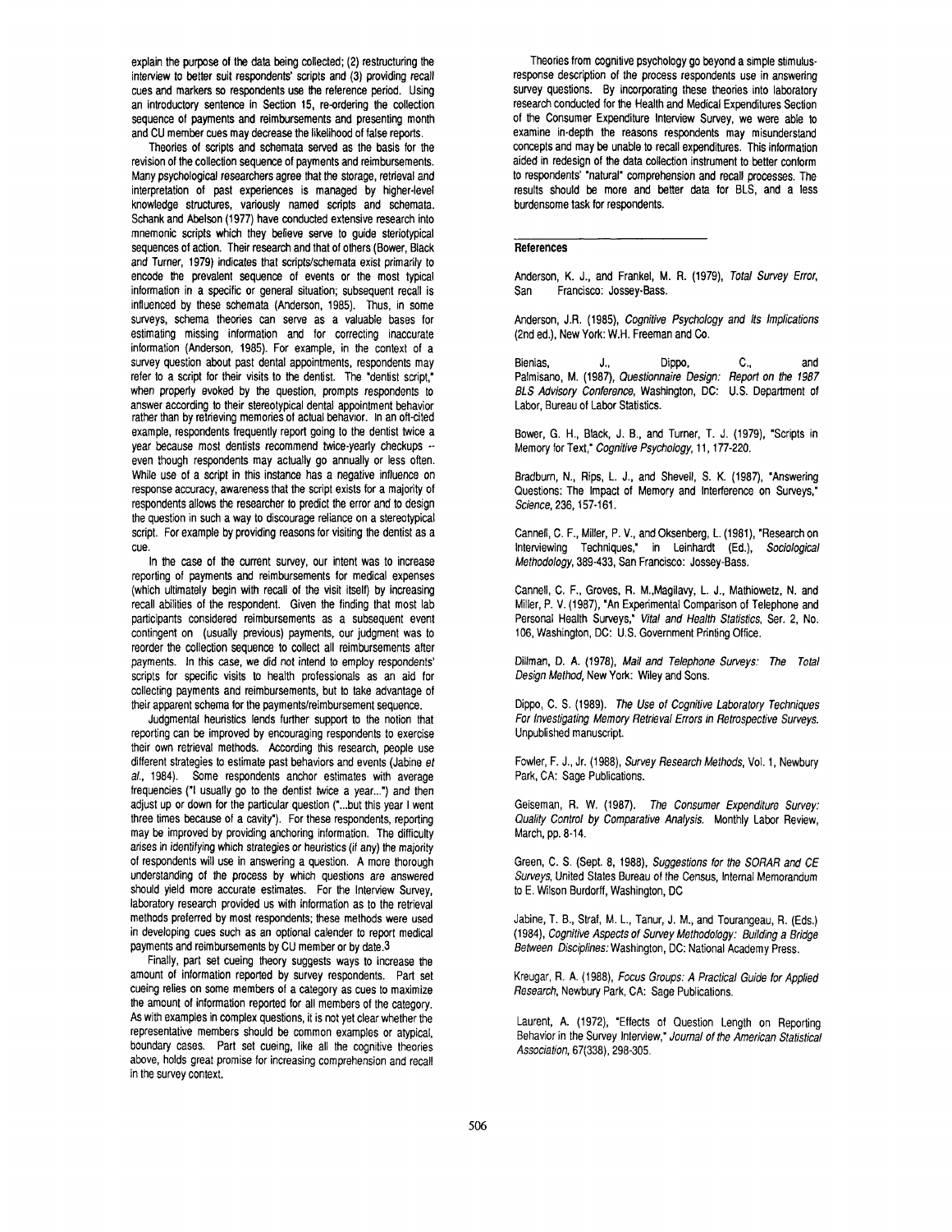explain the purpose of the data being collected; (2) restructuring the interview to better suit respondents' scripts and (3) providing recall cues and markers so respondents use the reference period. Using an introductory sentence in Section 15, re-ordering the collection sequence of payments and reimbursements and presenting month and CU member cues may decrease the likelihood of false reports.

Theories of scripts and schemata served as the basis for the revision of the collection sequence of payments and reimbursements. Many psychological researchers agree that the storage, retrieval and interpretation of past experiences is managed by higher-level knowledge structures, variously named scripts and schemata. Schank and Abelson (1977) have conducted extensive research into mnemonic scripts which they believe serve to guide steriotypical sequences of action. Their research and that of others (Bower, Black and Turner, 1979) indicates that scripts/schemata exist primarily to encode the prevalent sequence of events or the most typical information in a specific or general situation; subsequent recall is influenced by these schemata (Anderson, 1985). Thus, in some surveys, schema theories can serve as a valuable bases for estimating missing information and for correcting inaccurate information (Anderson, 1985). For example, in the context of a survey question about past dental appointments, respondents may refer to a script for their visits to the dentist. The "dentist script," when properly evoked by the question, prompts respondents to answer according to their stereotypical dental appointment behavior rather than by retrieving memories of actual behawor. In an oft-cited example, respondents frequently report going to the dentist twice a year because most dentists recommend twice-yearly checkups - even though respondents may actually go annually or less often. While use of a script in this instance has a negative influence on response accuracy, awareness that the script exists for a majority of respondents allows the researcher to predict the error and to design the question in such a way to discourage reliance on a stereotypical script. For example by providing reasons for visiting the dentist as a cue.

In the case of the current survey, our intent was to increase reporting of payments and reimbursements for medical expenses (which ultimately begin with recall of the visit itself) by increasing recall abilities of the respondent. Given the finding that most lab participants considered reimbursements as a subsequent event contingent on (usually previous) payments, our judgment was to reorder the collection sequence to collect all reimbursements after payments. In this case, we did not intend to employ respondents' scripts for specific visits to health professionals as an aid for collecting payments and reimbursements, but to take advantage of their apparent schema for the payments/reimbursement sequence.

Judgmental heuristics lends further support to the notion that reporting can be improved by encouraging respondents to exercise their own retrieval methods. According this research, people use different strategies to estimate past behaviors and events (Jabine *et al.,* 1984). Some respondents anchor estimates with average frequencies ("1 usually go to the dentist twice a year...") and then adjust up or down for the particular question ("...but this year I went three times because of a cavity"). For these respondents, reporting may be improved by providing anchoring information. The difficulty arises in identifying which strategies or heuristics (if any) the majority of respondents will use in answering a question. A more thorough understanding of the process by which questions are answered should yield more accurate estimates. For the Interview Survey, laboratory research provided us with information as to the retrieval methods preferred by most respondents; these methods were used in developing cues such as an optional calender to report medical payments and reimbursements by CU member or by date.3

Finally, part set cueing theory suggests ways to increase the amount of information reported by survey respondents. Part set cueing relies on some members of a category as cues to maximize the amount of information reported for all members of the category. As with examples in complex questions, it is not yet clear whether the representative members should be common examples or atypical, boundary cases. Part set cueing, like all the cognitive theories above, holds great promise for increasing comprehension and recall in the survey context.

Theories from cognitive psychology go beyond a simple stimulusresponse description of the process respondents use in answering survey questions. By incorporating these theories into laboratory research conducted for the Health and Medical Expenditures Section of the Consumer Expenditure Interview Survey, we were able to examine in-depth the reasons respondents may misunderstand concepts and may be unable to recall expenditures. This information aided in redesign of the data collection instrument to better conform to respondents' "natural" comprehension and recall processes. The results should be more and better data for BLS, and a less burdensome task for respondents.

# **References**

Anderson, K. J., and Frankel, M. R. (1979), *Total Survey Error,*  San Francisco: Jossey-Bass.

Anderson, J.R. (1985), *Cognitive Psychology and Its Implications*  (2nd ed.), New York: W.H. Freeman and Co.

Bienias, J., Dippo, C., and Palmisano, M. (1987), *Questionnaire Design: Report on the 1987 BLS Advisory Conference,* Washington, DC: U.S. Department of Labor, Bureau of Labor Statistics.

Bower, G. H., Black, J. B., and Turner, T. J. (1979), "Scripts in Memory for Text," *Cognitive Psychology,* 11,177-220.

Bradburn, N., Rips, L. J., and Shevell, S. K. (1987), "Answering Questions: The Impact of Memory and Interference on Surveys," *Science,* 236, 157-161.

Cannell, C. F., Miller, P. V., and Oksenberg, L. (1981), "Research on Interviewing Techniques," in Leinhardt (Ed.), *Sociological Methodology,* 389-433, San Francisco: Jossey-Bass.

Cannell, C. F., Groves, R. M.,Magilavy, L. J., Mathiowetz, N. and Miller, P. V. (1987), "An Experimental Comparison of Telephone and Personal Health Surveys," *Vital and Health Statistics,* Ser. 2, No. 106, Washington, DC: U.S. Government Printing Office.

Dillman, D. A. (1978), *Mail and Telephone Surveys: The Total Design Method,* New York: Wiley and Sons.

Dippo, C. S. (1989). *The Use of Cognitive Laboratory Techniques For Investigating Memory Retrieval Errors in Retrospective Surveys.*  Unpublished manuscript.

Fowler, F. J., Jr. (1988), *Survey Research Methods,* Vol. 1, Newbury Park, CA: Sage Publications.

Geiseman, R. W. (1987). *The Consumer Expenditure Survey: Quality Control by Comparative Analysis.* Monthly Labor Review, March, pp. 8-14.

Green, C. S. (Sept. 8, 1988), *Suggestions for the SORAR and CE Surveys,* United States Bureau of the Census, Internal Memorandum to E. Wilson Burdorff, Washington, DC

Jabine, T. B., Straf, M. L., Tanur, J. M., and Tourangeau, R. (Eds.) (1984), *Cognitive Aspects of Survey Methodology: Building a Bridge Between Disciplines:* Washington, DC: National Academy Press.

Kreugar, R. A. (1988), *Focus Groups: A Practical Guide for Applied Research,* Newbury Park, CA: Sage Publications.

Laurent, A. (1972), "Effects of Question Length on Reporting Behavior in the Survey Interview," *Journal of the American Statistical Association,* 67(338), 298-305.